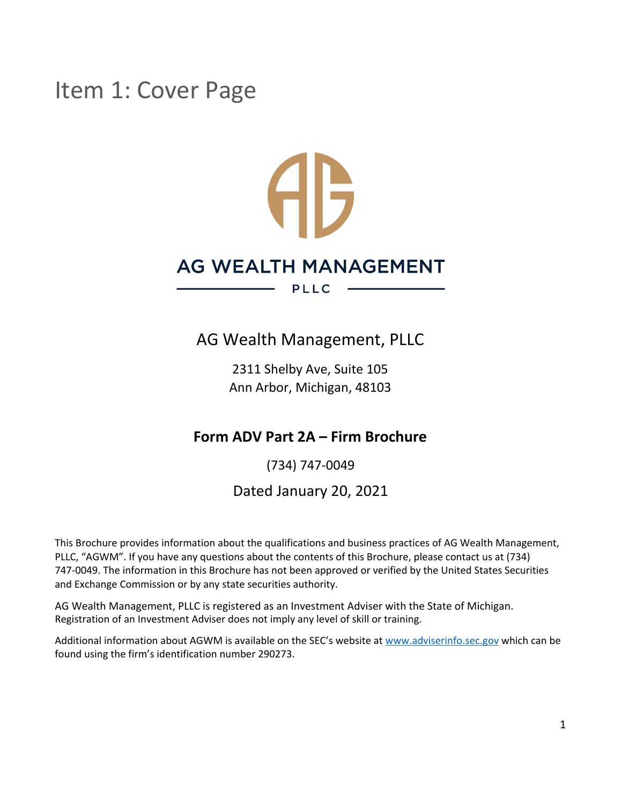# Item 1: Cover Page

# **AB** AG WEALTH MANAGEMENT **PLLC**

### AG Wealth Management, PLLC

2311 Shelby Ave, Suite 105 Ann Arbor, Michigan, 48103

### **Form ADV Part 2A – Firm Brochure**

(734) 747-0049

Dated January 20, 2021

This Brochure provides information about the qualifications and business practices of AG Wealth Management, PLLC, "AGWM". If you have any questions about the contents of this Brochure, please contact us at (734) 747-0049. The information in this Brochure has not been approved or verified by the United States Securities and Exchange Commission or by any state securities authority.

AG Wealth Management, PLLC is registered as an Investment Adviser with the State of Michigan. Registration of an Investment Adviser does not imply any level of skill or training.

Additional information about AGWM is available on the SEC's website at [www.adviserinfo.sec.gov](http://www.adviserinfo.sec.gov/) which can be found using the firm's identification number 290273.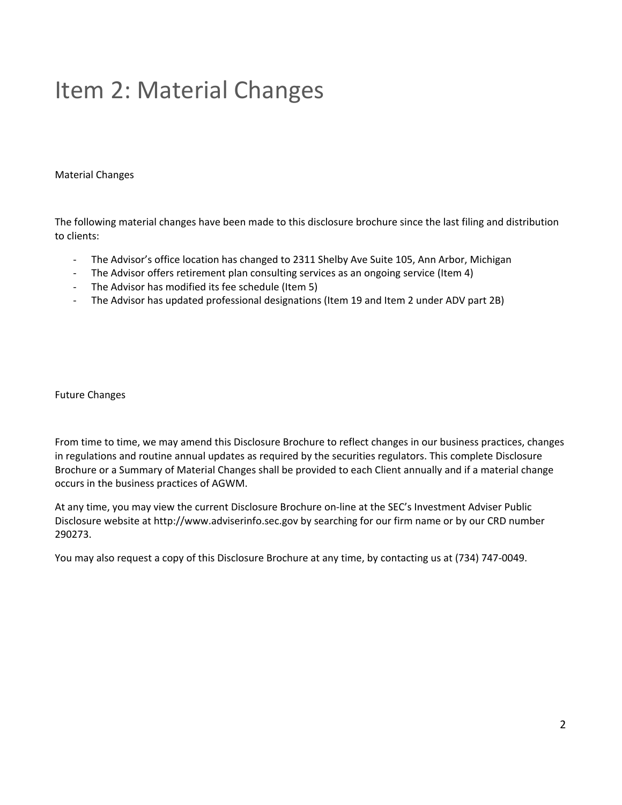# <span id="page-1-0"></span>Item 2: Material Changes

Material Changes

The following material changes have been made to this disclosure brochure since the last filing and distribution to clients:

- The Advisor's office location has changed to 2311 Shelby Ave Suite 105, Ann Arbor, Michigan
- The Advisor offers retirement plan consulting services as an ongoing service (Item 4)
- The Advisor has modified its fee schedule (Item 5)
- The Advisor has updated professional designations (Item 19 and Item 2 under ADV part 2B)

Future Changes

From time to time, we may amend this Disclosure Brochure to reflect changes in our business practices, changes in regulations and routine annual updates as required by the securities regulators. This complete Disclosure Brochure or a Summary of Material Changes shall be provided to each Client annually and if a material change occurs in the business practices of AGWM.

At any time, you may view the current Disclosure Brochure on-line at the SEC's Investment Adviser Public Disclosure website at http://www.adviserinfo.sec.gov by searching for our firm name or by our CRD number 290273.

You may also request a copy of this Disclosure Brochure at any time, by contacting us at (734) 747-0049.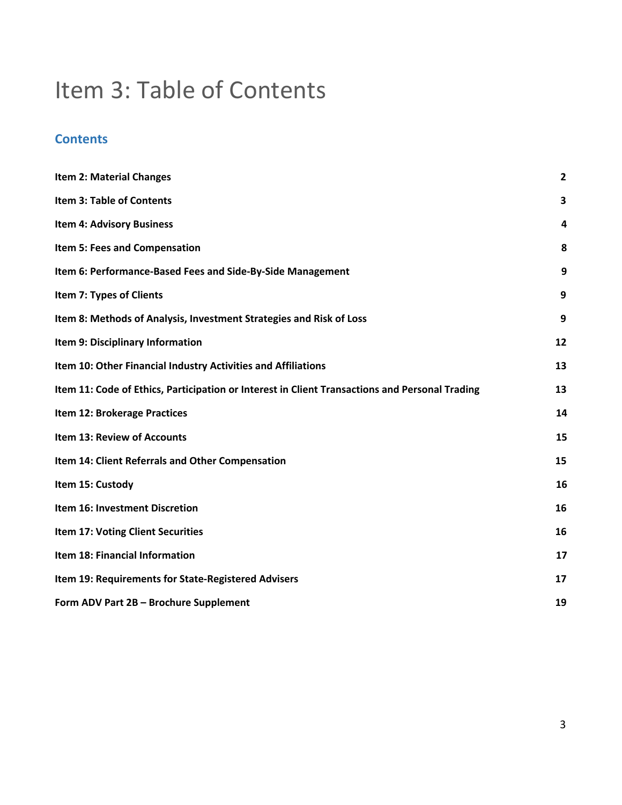# <span id="page-2-0"></span>Item 3: Table of Contents

### **Contents**

| <b>Item 2: Material Changes</b>                                                                | $\overline{2}$ |
|------------------------------------------------------------------------------------------------|----------------|
| <b>Item 3: Table of Contents</b>                                                               | 3              |
| <b>Item 4: Advisory Business</b>                                                               | 4              |
| Item 5: Fees and Compensation                                                                  | 8              |
| Item 6: Performance-Based Fees and Side-By-Side Management                                     | 9              |
| Item 7: Types of Clients                                                                       | 9              |
| Item 8: Methods of Analysis, Investment Strategies and Risk of Loss                            | 9              |
| Item 9: Disciplinary Information                                                               | 12             |
| Item 10: Other Financial Industry Activities and Affiliations                                  | 13             |
| Item 11: Code of Ethics, Participation or Interest in Client Transactions and Personal Trading | 13             |
| Item 12: Brokerage Practices                                                                   | 14             |
| <b>Item 13: Review of Accounts</b>                                                             | 15             |
| Item 14: Client Referrals and Other Compensation                                               | 15             |
| Item 15: Custody                                                                               | 16             |
| Item 16: Investment Discretion                                                                 | 16             |
| Item 17: Voting Client Securities                                                              | 16             |
| Item 18: Financial Information                                                                 | 17             |
| Item 19: Requirements for State-Registered Advisers                                            | 17             |
| Form ADV Part 2B - Brochure Supplement                                                         | 19             |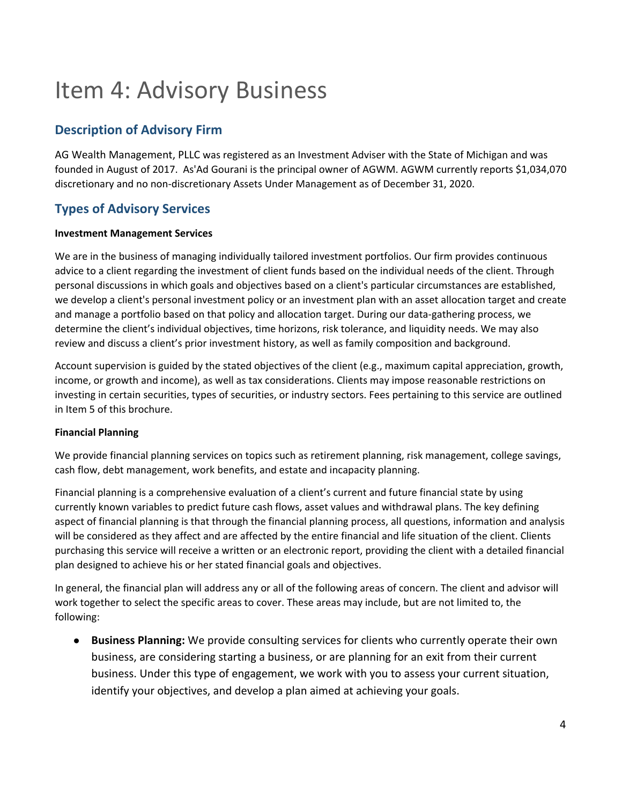# <span id="page-3-0"></span>Item 4: Advisory Business

### **Description of Advisory Firm**

AG Wealth Management, PLLC was registered as an Investment Adviser with the State of Michigan and was founded in August of 2017. As'Ad Gourani is the principal owner of AGWM. AGWM currently reports \$1,034,070 discretionary and no non-discretionary Assets Under Management as of December 31, 2020.

### **Types of Advisory Services**

#### **Investment Management Services**

We are in the business of managing individually tailored investment portfolios. Our firm provides continuous advice to a client regarding the investment of client funds based on the individual needs of the client. Through personal discussions in which goals and objectives based on a client's particular circumstances are established, we develop a client's personal investment policy or an investment plan with an asset allocation target and create and manage a portfolio based on that policy and allocation target. During our data-gathering process, we determine the client's individual objectives, time horizons, risk tolerance, and liquidity needs. We may also review and discuss a client's prior investment history, as well as family composition and background.

Account supervision is guided by the stated objectives of the client (e.g., maximum capital appreciation, growth, income, or growth and income), as well as tax considerations. Clients may impose reasonable restrictions on investing in certain securities, types of securities, or industry sectors. Fees pertaining to this service are outlined in Item 5 of this brochure.

#### **Financial Planning**

We provide financial planning services on topics such as retirement planning, risk management, college savings, cash flow, debt management, work benefits, and estate and incapacity planning.

Financial planning is a comprehensive evaluation of a client's current and future financial state by using currently known variables to predict future cash flows, asset values and withdrawal plans. The key defining aspect of financial planning is that through the financial planning process, all questions, information and analysis will be considered as they affect and are affected by the entire financial and life situation of the client. Clients purchasing this service will receive a written or an electronic report, providing the client with a detailed financial plan designed to achieve his or her stated financial goals and objectives.

In general, the financial plan will address any or all of the following areas of concern. The client and advisor will work together to select the specific areas to cover. These areas may include, but are not limited to, the following:

● **Business Planning:** We provide consulting services for clients who currently operate their own business, are considering starting a business, or are planning for an exit from their current business. Under this type of engagement, we work with you to assess your current situation, identify your objectives, and develop a plan aimed at achieving your goals.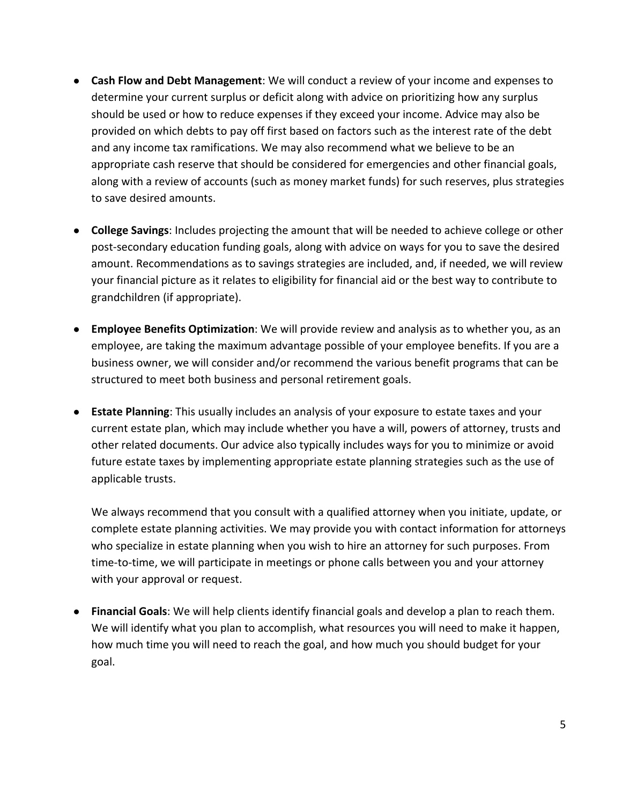- **Cash Flow and Debt Management**: We will conduct a review of your income and expenses to determine your current surplus or deficit along with advice on prioritizing how any surplus should be used or how to reduce expenses if they exceed your income. Advice may also be provided on which debts to pay off first based on factors such as the interest rate of the debt and any income tax ramifications. We may also recommend what we believe to be an appropriate cash reserve that should be considered for emergencies and other financial goals, along with a review of accounts (such as money market funds) for such reserves, plus strategies to save desired amounts.
- **College Savings**: Includes projecting the amount that will be needed to achieve college or other post-secondary education funding goals, along with advice on ways for you to save the desired amount. Recommendations as to savings strategies are included, and, if needed, we will review your financial picture as it relates to eligibility for financial aid or the best way to contribute to grandchildren (if appropriate).
- **Employee Benefits Optimization**: We will provide review and analysis as to whether you, as an employee, are taking the maximum advantage possible of your employee benefits. If you are a business owner, we will consider and/or recommend the various benefit programs that can be structured to meet both business and personal retirement goals.
- **Estate Planning**: This usually includes an analysis of your exposure to estate taxes and your current estate plan, which may include whether you have a will, powers of attorney, trusts and other related documents. Our advice also typically includes ways for you to minimize or avoid future estate taxes by implementing appropriate estate planning strategies such as the use of applicable trusts.

We always recommend that you consult with a qualified attorney when you initiate, update, or complete estate planning activities. We may provide you with contact information for attorneys who specialize in estate planning when you wish to hire an attorney for such purposes. From time-to-time, we will participate in meetings or phone calls between you and your attorney with your approval or request.

● **Financial Goals**: We will help clients identify financial goals and develop a plan to reach them. We will identify what you plan to accomplish, what resources you will need to make it happen, how much time you will need to reach the goal, and how much you should budget for your goal.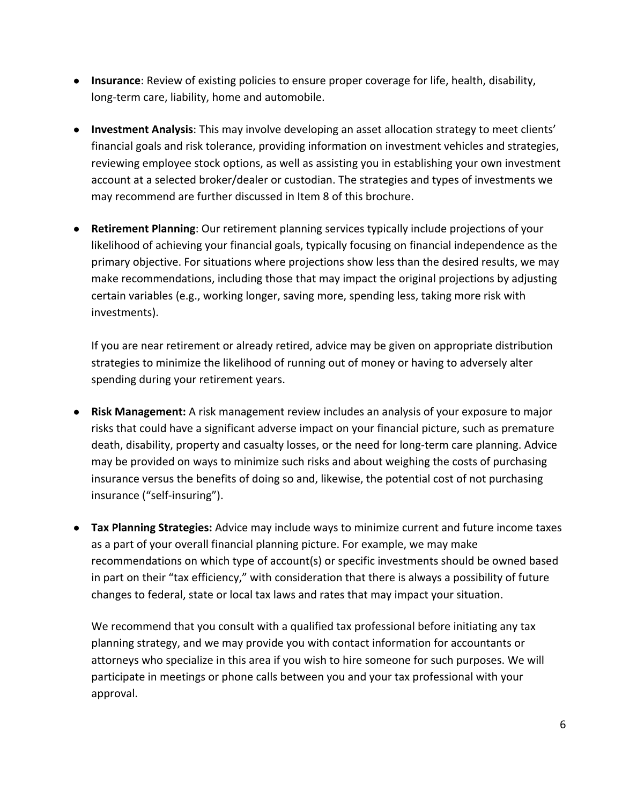- **Insurance**: Review of existing policies to ensure proper coverage for life, health, disability, long-term care, liability, home and automobile.
- **Investment Analysis**: This may involve developing an asset allocation strategy to meet clients' financial goals and risk tolerance, providing information on investment vehicles and strategies, reviewing employee stock options, as well as assisting you in establishing your own investment account at a selected broker/dealer or custodian. The strategies and types of investments we may recommend are further discussed in Item 8 of this brochure.
- **Retirement Planning**: Our retirement planning services typically include projections of your likelihood of achieving your financial goals, typically focusing on financial independence as the primary objective. For situations where projections show less than the desired results, we may make recommendations, including those that may impact the original projections by adjusting certain variables (e.g., working longer, saving more, spending less, taking more risk with investments).

If you are near retirement or already retired, advice may be given on appropriate distribution strategies to minimize the likelihood of running out of money or having to adversely alter spending during your retirement years.

- **Risk Management:** A risk management review includes an analysis of your exposure to major risks that could have a significant adverse impact on your financial picture, such as premature death, disability, property and casualty losses, or the need for long-term care planning. Advice may be provided on ways to minimize such risks and about weighing the costs of purchasing insurance versus the benefits of doing so and, likewise, the potential cost of not purchasing insurance ("self-insuring").
- **Tax Planning Strategies:** Advice may include ways to minimize current and future income taxes as a part of your overall financial planning picture. For example, we may make recommendations on which type of account(s) or specific investments should be owned based in part on their "tax efficiency," with consideration that there is always a possibility of future changes to federal, state or local tax laws and rates that may impact your situation.

We recommend that you consult with a qualified tax professional before initiating any tax planning strategy, and we may provide you with contact information for accountants or attorneys who specialize in this area if you wish to hire someone for such purposes. We will participate in meetings or phone calls between you and your tax professional with your approval.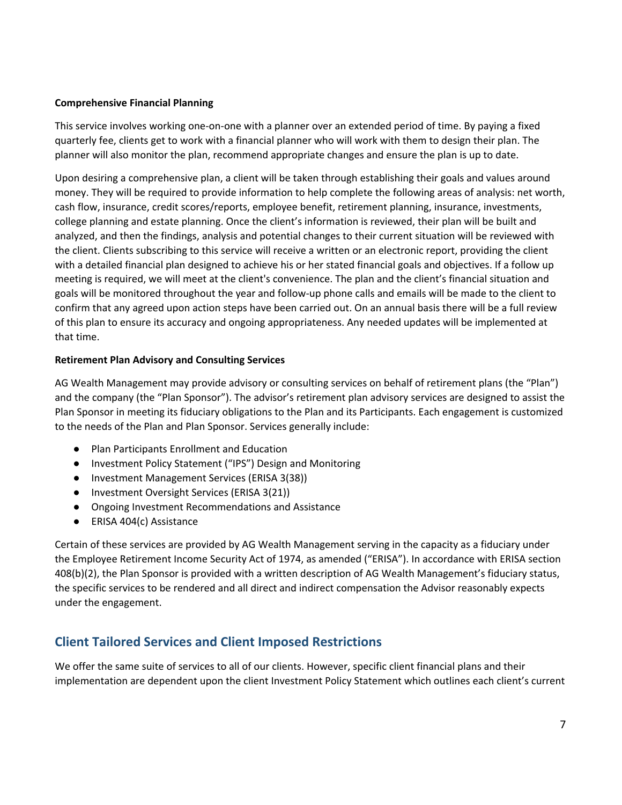#### **Comprehensive Financial Planning**

This service involves working one-on-one with a planner over an extended period of time. By paying a fixed quarterly fee, clients get to work with a financial planner who will work with them to design their plan. The planner will also monitor the plan, recommend appropriate changes and ensure the plan is up to date.

Upon desiring a comprehensive plan, a client will be taken through establishing their goals and values around money. They will be required to provide information to help complete the following areas of analysis: net worth, cash flow, insurance, credit scores/reports, employee benefit, retirement planning, insurance, investments, college planning and estate planning. Once the client's information is reviewed, their plan will be built and analyzed, and then the findings, analysis and potential changes to their current situation will be reviewed with the client. Clients subscribing to this service will receive a written or an electronic report, providing the client with a detailed financial plan designed to achieve his or her stated financial goals and objectives. If a follow up meeting is required, we will meet at the client's convenience. The plan and the client's financial situation and goals will be monitored throughout the year and follow-up phone calls and emails will be made to the client to confirm that any agreed upon action steps have been carried out. On an annual basis there will be a full review of this plan to ensure its accuracy and ongoing appropriateness. Any needed updates will be implemented at that time.

#### **Retirement Plan Advisory and Consulting Services**

AG Wealth Management may provide advisory or consulting services on behalf of retirement plans (the "Plan") and the company (the "Plan Sponsor"). The advisor's retirement plan advisory services are designed to assist the Plan Sponsor in meeting its fiduciary obligations to the Plan and its Participants. Each engagement is customized to the needs of the Plan and Plan Sponsor. Services generally include:

- Plan Participants Enrollment and Education
- Investment Policy Statement ("IPS") Design and Monitoring
- Investment Management Services (ERISA 3(38))
- Investment Oversight Services (ERISA 3(21))
- Ongoing Investment Recommendations and Assistance
- ERISA 404(c) Assistance

Certain of these services are provided by AG Wealth Management serving in the capacity as a fiduciary under the Employee Retirement Income Security Act of 1974, as amended ("ERISA"). In accordance with ERISA section 408(b)(2), the Plan Sponsor is provided with a written description of AG Wealth Management's fiduciary status, the specific services to be rendered and all direct and indirect compensation the Advisor reasonably expects under the engagement.

#### **Client Tailored Services and Client Imposed Restrictions**

We offer the same suite of services to all of our clients. However, specific client financial plans and their implementation are dependent upon the client Investment Policy Statement which outlines each client's current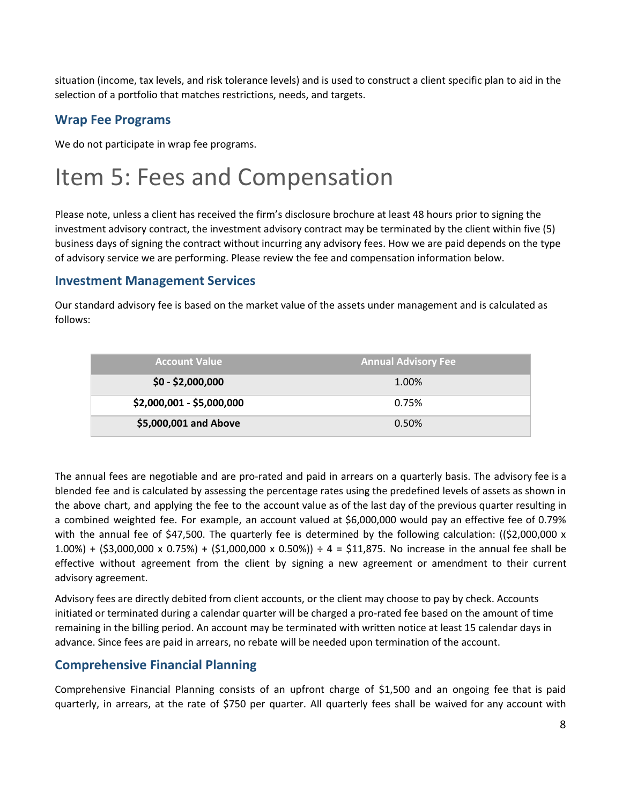situation (income, tax levels, and risk tolerance levels) and is used to construct a client specific plan to aid in the selection of a portfolio that matches restrictions, needs, and targets.

### **Wrap Fee Programs**

We do not participate in wrap fee programs.

# <span id="page-7-0"></span>Item 5: Fees and Compensation

Please note, unless a client has received the firm's disclosure brochure at least 48 hours prior to signing the investment advisory contract, the investment advisory contract may be terminated by the client within five (5) business days of signing the contract without incurring any advisory fees. How we are paid depends on the type of advisory service we are performing. Please review the fee and compensation information below.

#### **Investment Management Services**

Our standard advisory fee is based on the market value of the assets under management and is calculated as follows:

| <b>Account Value</b>      | <b>Annual Advisory Fee</b> |
|---------------------------|----------------------------|
| $$0 - $2,000,000$         | 1.00%                      |
| \$2,000,001 - \$5,000,000 | 0.75%                      |
| \$5,000,001 and Above     | 0.50%                      |

The annual fees are negotiable and are pro-rated and paid in arrears on a quarterly basis. The advisory fee is a blended fee and is calculated by assessing the percentage rates using the predefined levels of assets as shown in the above chart, and applying the fee to the account value as of the last day of the previous quarter resulting in a combined weighted fee. For example, an account valued at \$6,000,000 would pay an effective fee of 0.79% with the annual fee of \$47,500. The quarterly fee is determined by the following calculation: ((\$2,000,000 x 1.00%) + (\$3,000,000 x 0.75%) + (\$1,000,000 x 0.50%)) ÷ 4 = \$11,875. No increase in the annual fee shall be effective without agreement from the client by signing a new agreement or amendment to their current advisory agreement.

Advisory fees are directly debited from client accounts, or the client may choose to pay by check. Accounts initiated or terminated during a calendar quarter will be charged a pro-rated fee based on the amount of time remaining in the billing period. An account may be terminated with written notice at least 15 calendar days in advance. Since fees are paid in arrears, no rebate will be needed upon termination of the account.

### **Comprehensive Financial Planning**

Comprehensive Financial Planning consists of an upfront charge of \$1,500 and an ongoing fee that is paid quarterly, in arrears, at the rate of \$750 per quarter. All quarterly fees shall be waived for any account with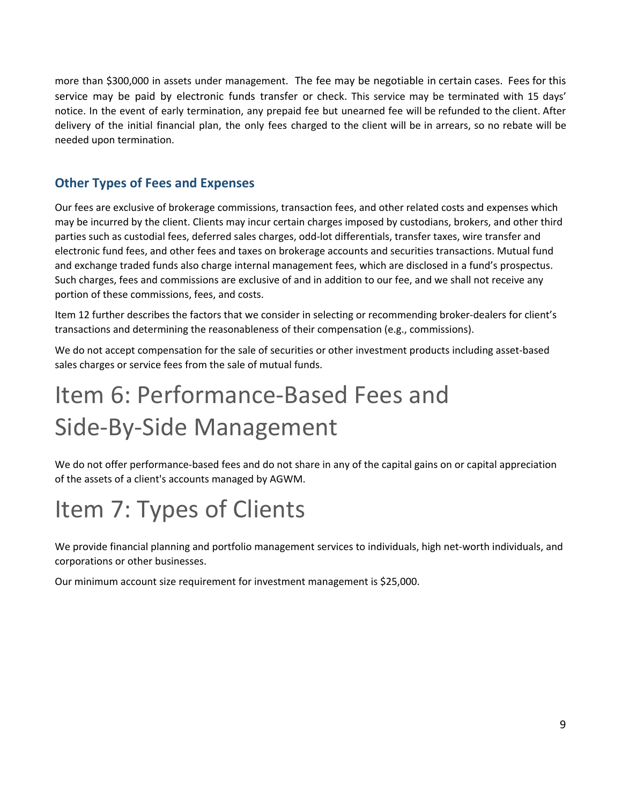more than \$300,000 in assets under management. The fee may be negotiable in certain cases. Fees for this service may be paid by electronic funds transfer or check. This service may be terminated with 15 days' notice. In the event of early termination, any prepaid fee but unearned fee will be refunded to the client. After delivery of the initial financial plan, the only fees charged to the client will be in arrears, so no rebate will be needed upon termination.

### **Other Types of Fees and Expenses**

Our fees are exclusive of brokerage commissions, transaction fees, and other related costs and expenses which may be incurred by the client. Clients may incur certain charges imposed by custodians, brokers, and other third parties such as custodial fees, deferred sales charges, odd-lot differentials, transfer taxes, wire transfer and electronic fund fees, and other fees and taxes on brokerage accounts and securities transactions. Mutual fund and exchange traded funds also charge internal management fees, which are disclosed in a fund's prospectus. Such charges, fees and commissions are exclusive of and in addition to our fee, and we shall not receive any portion of these commissions, fees, and costs.

Item 12 further describes the factors that we consider in selecting or recommending broker-dealers for client's transactions and determining the reasonableness of their compensation (e.g., commissions).

We do not accept compensation for the sale of securities or other investment products including asset-based sales charges or service fees from the sale of mutual funds.

# <span id="page-8-0"></span>Item 6: Performance-Based Fees and Side-By-Side Management

We do not offer performance-based fees and do not share in any of the capital gains on or capital appreciation of the assets of a client's accounts managed by AGWM.

# <span id="page-8-1"></span>Item 7: Types of Clients

We provide financial planning and portfolio management services to individuals, high net-worth individuals, and corporations or other businesses.

Our minimum account size requirement for investment management is \$25,000.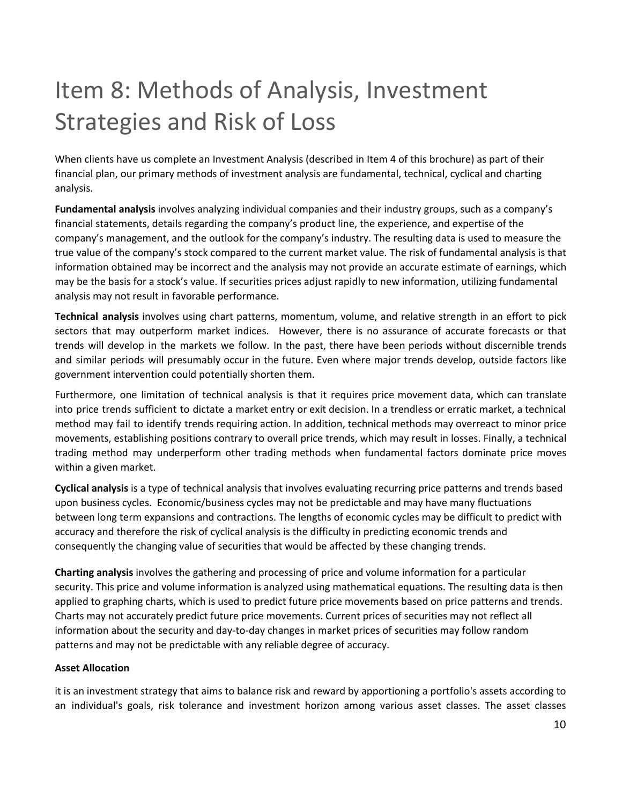# <span id="page-9-0"></span>Item 8: Methods of Analysis, Investment Strategies and Risk of Loss

When clients have us complete an Investment Analysis (described in Item 4 of this brochure) as part of their financial plan, our primary methods of investment analysis are fundamental, technical, cyclical and charting analysis.

**Fundamental analysis** involves analyzing individual companies and their industry groups, such as a company's financial statements, details regarding the company's product line, the experience, and expertise of the company's management, and the outlook for the company's industry. The resulting data is used to measure the true value of the company's stock compared to the current market value. The risk of fundamental analysis is that information obtained may be incorrect and the analysis may not provide an accurate estimate of earnings, which may be the basis for a stock's value. If securities prices adjust rapidly to new information, utilizing fundamental analysis may not result in favorable performance.

**Technical analysis** involves using chart patterns, momentum, volume, and relative strength in an effort to pick sectors that may outperform market indices. However, there is no assurance of accurate forecasts or that trends will develop in the markets we follow. In the past, there have been periods without discernible trends and similar periods will presumably occur in the future. Even where major trends develop, outside factors like government intervention could potentially shorten them.

Furthermore, one limitation of technical analysis is that it requires price movement data, which can translate into price trends sufficient to dictate a market entry or exit decision. In a trendless or erratic market, a technical method may fail to identify trends requiring action. In addition, technical methods may overreact to minor price movements, establishing positions contrary to overall price trends, which may result in losses. Finally, a technical trading method may underperform other trading methods when fundamental factors dominate price moves within a given market.

**Cyclical analysis** is a type of technical analysis that involves evaluating recurring price patterns and trends based upon business cycles. Economic/business cycles may not be predictable and may have many fluctuations between long term expansions and contractions. The lengths of economic cycles may be difficult to predict with accuracy and therefore the risk of cyclical analysis is the difficulty in predicting economic trends and consequently the changing value of securities that would be affected by these changing trends.

**Charting analysis** involves the gathering and processing of price and volume information for a particular security. This price and volume information is analyzed using mathematical equations. The resulting data is then applied to graphing charts, which is used to predict future price movements based on price patterns and trends. Charts may not accurately predict future price movements. Current prices of securities may not reflect all information about the security and day-to-day changes in market prices of securities may follow random patterns and may not be predictable with any reliable degree of accuracy.

#### **Asset Allocation**

it is an investment strategy that aims to balance risk and reward by apportioning a portfolio's assets according to an individual's goals, risk tolerance and investment horizon among various asset classes. The asset classes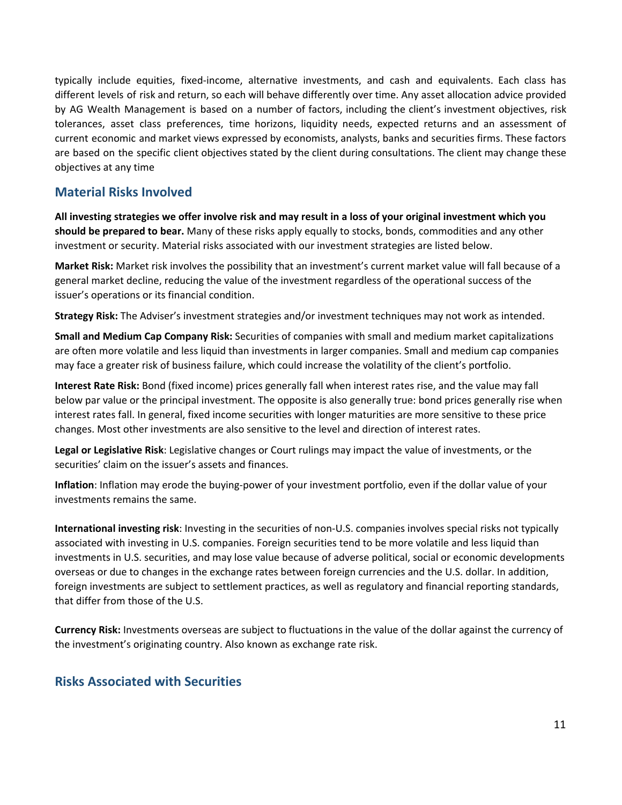typically include equities, fixed-income, alternative investments, and cash and equivalents. Each class has different levels of risk and return, so each will behave differently over time. Any asset allocation advice provided by AG Wealth Management is based on a number of factors, including the client's investment objectives, risk tolerances, asset class preferences, time horizons, liquidity needs, expected returns and an assessment of current economic and market views expressed by economists, analysts, banks and securities firms. These factors are based on the specific client objectives stated by the client during consultations. The client may change these objectives at any time

#### **Material Risks Involved**

All investing strategies we offer involve risk and may result in a loss of your original investment which you **should be prepared to bear.** Many of these risks apply equally to stocks, bonds, commodities and any other investment or security. Material risks associated with our investment strategies are listed below.

**Market Risk:** Market risk involves the possibility that an investment's current market value will fall because of a general market decline, reducing the value of the investment regardless of the operational success of the issuer's operations or its financial condition.

**Strategy Risk:** The Adviser's investment strategies and/or investment techniques may not work as intended.

**Small and Medium Cap Company Risk:** Securities of companies with small and medium market capitalizations are often more volatile and less liquid than investments in larger companies. Small and medium cap companies may face a greater risk of business failure, which could increase the volatility of the client's portfolio.

**Interest Rate Risk:** Bond (fixed income) prices generally fall when interest rates rise, and the value may fall below par value or the principal investment. The opposite is also generally true: bond prices generally rise when interest rates fall. In general, fixed income securities with longer maturities are more sensitive to these price changes. Most other investments are also sensitive to the level and direction of interest rates.

**Legal or Legislative Risk**: Legislative changes or Court rulings may impact the value of investments, or the securities' claim on the issuer's assets and finances.

**Inflation**: Inflation may erode the buying-power of your investment portfolio, even if the dollar value of your investments remains the same.

**International investing risk**: Investing in the securities of non-U.S. companies involves special risks not typically associated with investing in U.S. companies. Foreign securities tend to be more volatile and less liquid than investments in U.S. securities, and may lose value because of adverse political, social or economic developments overseas or due to changes in the exchange rates between foreign currencies and the U.S. dollar. In addition, foreign investments are subject to settlement practices, as well as regulatory and financial reporting standards, that differ from those of the U.S.

**Currency Risk:** Investments overseas are subject to fluctuations in the value of the dollar against the currency of the investment's originating country. Also known as exchange rate risk.

#### **Risks Associated with Securities**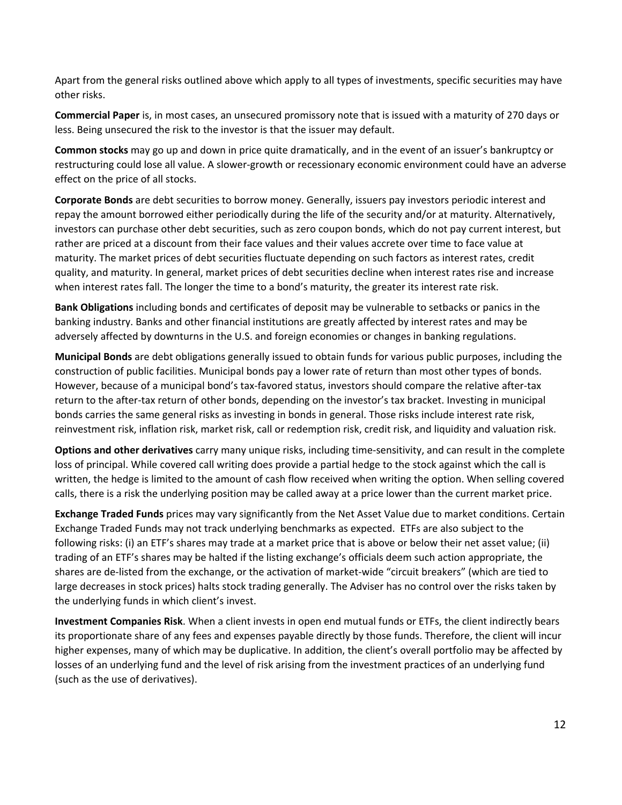Apart from the general risks outlined above which apply to all types of investments, specific securities may have other risks.

**Commercial Paper** is, in most cases, an unsecured promissory note that is issued with a maturity of 270 days or less. Being unsecured the risk to the investor is that the issuer may default.

**Common stocks** may go up and down in price quite dramatically, and in the event of an issuer's bankruptcy or restructuring could lose all value. A slower-growth or recessionary economic environment could have an adverse effect on the price of all stocks.

**Corporate Bonds** are debt securities to borrow money. Generally, issuers pay investors periodic interest and repay the amount borrowed either periodically during the life of the security and/or at maturity. Alternatively, investors can purchase other debt securities, such as zero coupon bonds, which do not pay current interest, but rather are priced at a discount from their face values and their values accrete over time to face value at maturity. The market prices of debt securities fluctuate depending on such factors as interest rates, credit quality, and maturity. In general, market prices of debt securities decline when interest rates rise and increase when interest rates fall. The longer the time to a bond's maturity, the greater its interest rate risk.

**Bank Obligations** including bonds and certificates of deposit may be vulnerable to setbacks or panics in the banking industry. Banks and other financial institutions are greatly affected by interest rates and may be adversely affected by downturns in the U.S. and foreign economies or changes in banking regulations.

**Municipal Bonds** are debt obligations generally issued to obtain funds for various public purposes, including the construction of public facilities. Municipal bonds pay a lower rate of return than most other types of bonds. However, because of a municipal bond's tax-favored status, investors should compare the relative after-tax return to the after-tax return of other bonds, depending on the investor's tax bracket. Investing in municipal bonds carries the same general risks as investing in bonds in general. Those risks include interest rate risk, reinvestment risk, inflation risk, market risk, call or redemption risk, credit risk, and liquidity and valuation risk.

**Options and other derivatives** carry many unique risks, including time-sensitivity, and can result in the complete loss of principal. While covered call writing does provide a partial hedge to the stock against which the call is written, the hedge is limited to the amount of cash flow received when writing the option. When selling covered calls, there is a risk the underlying position may be called away at a price lower than the current market price.

**Exchange Traded Funds** prices may vary significantly from the Net Asset Value due to market conditions. Certain Exchange Traded Funds may not track underlying benchmarks as expected. ETFs are also subject to the following risks: (i) an ETF's shares may trade at a market price that is above or below their net asset value; (ii) trading of an ETF's shares may be halted if the listing exchange's officials deem such action appropriate, the shares are de-listed from the exchange, or the activation of market-wide "circuit breakers" (which are tied to large decreases in stock prices) halts stock trading generally. The Adviser has no control over the risks taken by the underlying funds in which client's invest.

**Investment Companies Risk**. When a client invests in open end mutual funds or ETFs, the client indirectly bears its proportionate share of any fees and expenses payable directly by those funds. Therefore, the client will incur higher expenses, many of which may be duplicative. In addition, the client's overall portfolio may be affected by losses of an underlying fund and the level of risk arising from the investment practices of an underlying fund (such as the use of derivatives).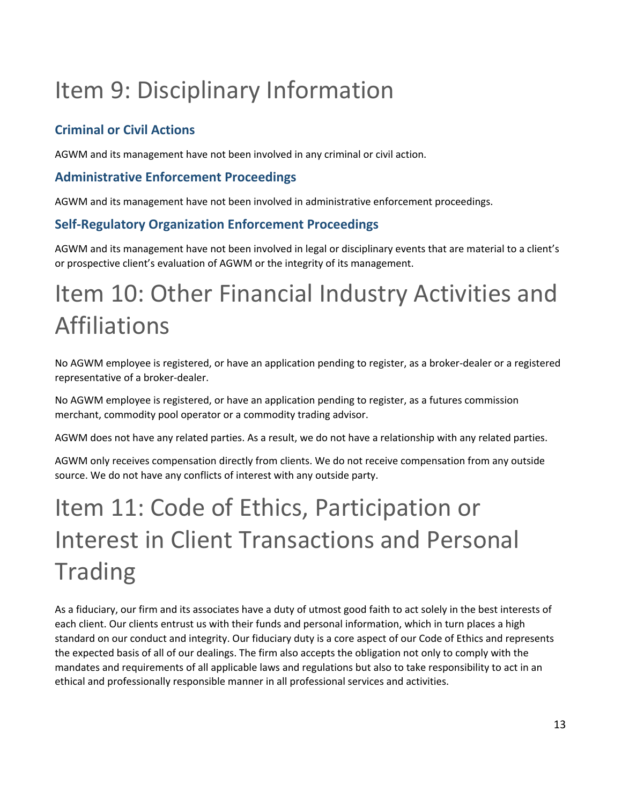# <span id="page-12-0"></span>Item 9: Disciplinary Information

### **Criminal or Civil Actions**

AGWM and its management have not been involved in any criminal or civil action.

### **Administrative Enforcement Proceedings**

AGWM and its management have not been involved in administrative enforcement proceedings.

### **Self-Regulatory Organization Enforcement Proceedings**

AGWM and its management have not been involved in legal or disciplinary events that are material to a client's or prospective client's evaluation of AGWM or the integrity of its management.

# <span id="page-12-1"></span>Item 10: Other Financial Industry Activities and Affiliations

No AGWM employee is registered, or have an application pending to register, as a broker-dealer or a registered representative of a broker-dealer.

No AGWM employee is registered, or have an application pending to register, as a futures commission merchant, commodity pool operator or a commodity trading advisor.

AGWM does not have any related parties. As a result, we do not have a relationship with any related parties.

AGWM only receives compensation directly from clients. We do not receive compensation from any outside source. We do not have any conflicts of interest with any outside party.

# <span id="page-12-2"></span>Item 11: Code of Ethics, Participation or Interest in Client Transactions and Personal **Trading**

As a fiduciary, our firm and its associates have a duty of utmost good faith to act solely in the best interests of each client. Our clients entrust us with their funds and personal information, which in turn places a high standard on our conduct and integrity. Our fiduciary duty is a core aspect of our Code of Ethics and represents the expected basis of all of our dealings. The firm also accepts the obligation not only to comply with the mandates and requirements of all applicable laws and regulations but also to take responsibility to act in an ethical and professionally responsible manner in all professional services and activities.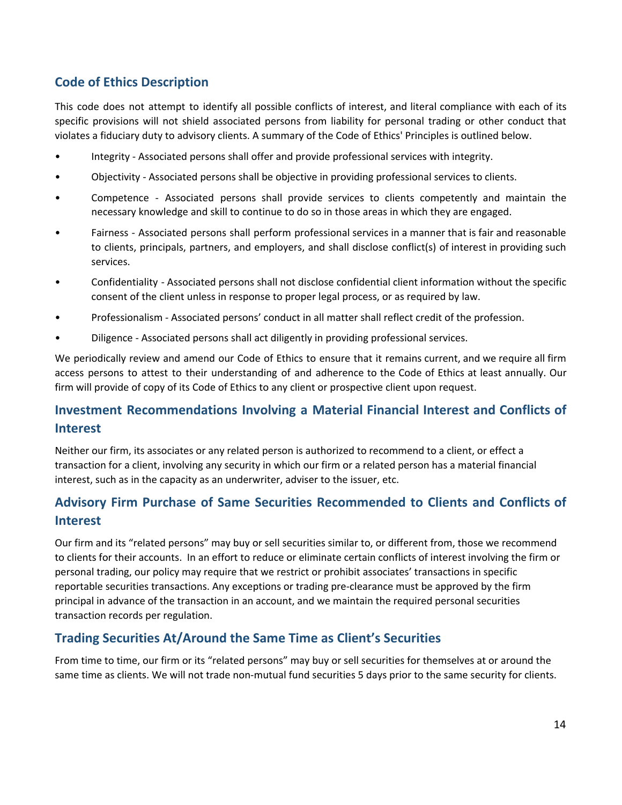### **Code of Ethics Description**

This code does not attempt to identify all possible conflicts of interest, and literal compliance with each of its specific provisions will not shield associated persons from liability for personal trading or other conduct that violates a fiduciary duty to advisory clients. A summary of the Code of Ethics' Principles is outlined below.

- Integrity Associated persons shall offer and provide professional services with integrity.
- Objectivity Associated persons shall be objective in providing professional services to clients.
- Competence Associated persons shall provide services to clients competently and maintain the necessary knowledge and skill to continue to do so in those areas in which they are engaged.
- Fairness Associated persons shall perform professional services in a manner that is fair and reasonable to clients, principals, partners, and employers, and shall disclose conflict(s) of interest in providing such services.
- Confidentiality Associated persons shall not disclose confidential client information without the specific consent of the client unless in response to proper legal process, or as required by law.
- Professionalism Associated persons' conduct in all matter shall reflect credit of the profession.
- Diligence Associated persons shall act diligently in providing professional services.

We periodically review and amend our Code of Ethics to ensure that it remains current, and we require all firm access persons to attest to their understanding of and adherence to the Code of Ethics at least annually. Our firm will provide of copy of its Code of Ethics to any client or prospective client upon request.

### **Investment Recommendations Involving a Material Financial Interest and Conflicts of Interest**

Neither our firm, its associates or any related person is authorized to recommend to a client, or effect a transaction for a client, involving any security in which our firm or a related person has a material financial interest, such as in the capacity as an underwriter, adviser to the issuer, etc.

### **Advisory Firm Purchase of Same Securities Recommended to Clients and Conflicts of Interest**

Our firm and its "related persons" may buy or sell securities similar to, or different from, those we recommend to clients for their accounts. In an effort to reduce or eliminate certain conflicts of interest involving the firm or personal trading, our policy may require that we restrict or prohibit associates' transactions in specific reportable securities transactions. Any exceptions or trading pre-clearance must be approved by the firm principal in advance of the transaction in an account, and we maintain the required personal securities transaction records per regulation.

#### **Trading Securities At/Around the Same Time as Client's Securities**

From time to time, our firm or its "related persons" may buy or sell securities for themselves at or around the same time as clients. We will not trade non-mutual fund securities 5 days prior to the same security for clients.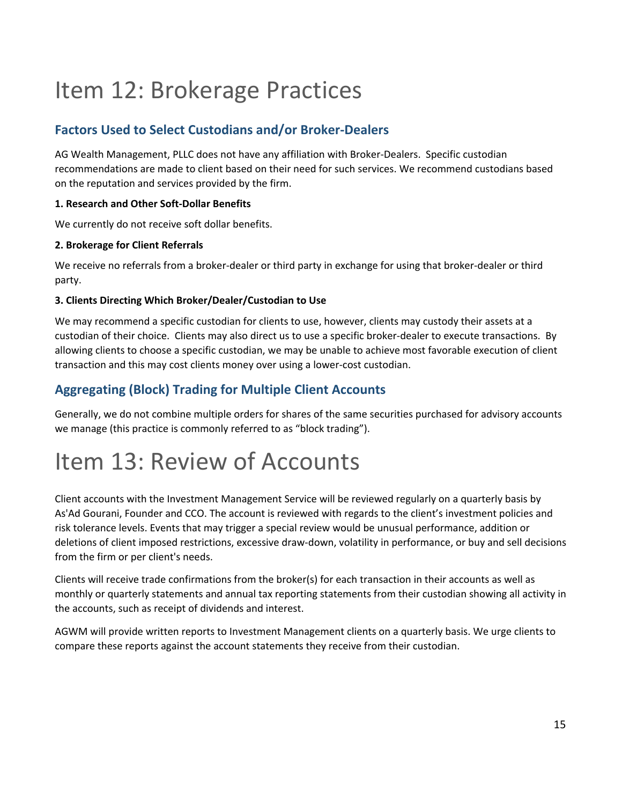# <span id="page-14-0"></span>Item 12: Brokerage Practices

### **Factors Used to Select Custodians and/or Broker-Dealers**

AG Wealth Management, PLLC does not have any affiliation with Broker-Dealers. Specific custodian recommendations are made to client based on their need for such services. We recommend custodians based on the reputation and services provided by the firm.

#### **1. Research and Other Soft-Dollar Benefits**

We currently do not receive soft dollar benefits.

#### **2. Brokerage for Client Referrals**

We receive no referrals from a broker-dealer or third party in exchange for using that broker-dealer or third party.

#### **3. Clients Directing Which Broker/Dealer/Custodian to Use**

We may recommend a specific custodian for clients to use, however, clients may custody their assets at a custodian of their choice. Clients may also direct us to use a specific broker-dealer to execute transactions. By allowing clients to choose a specific custodian, we may be unable to achieve most favorable execution of client transaction and this may cost clients money over using a lower-cost custodian.

### **Aggregating (Block) Trading for Multiple Client Accounts**

Generally, we do not combine multiple orders for shares of the same securities purchased for advisory accounts we manage (this practice is commonly referred to as "block trading").

# <span id="page-14-1"></span>Item 13: Review of Accounts

Client accounts with the Investment Management Service will be reviewed regularly on a quarterly basis by As'Ad Gourani, Founder and CCO. The account is reviewed with regards to the client's investment policies and risk tolerance levels. Events that may trigger a special review would be unusual performance, addition or deletions of client imposed restrictions, excessive draw-down, volatility in performance, or buy and sell decisions from the firm or per client's needs.

Clients will receive trade confirmations from the broker(s) for each transaction in their accounts as well as monthly or quarterly statements and annual tax reporting statements from their custodian showing all activity in the accounts, such as receipt of dividends and interest.

AGWM will provide written reports to Investment Management clients on a quarterly basis. We urge clients to compare these reports against the account statements they receive from their custodian.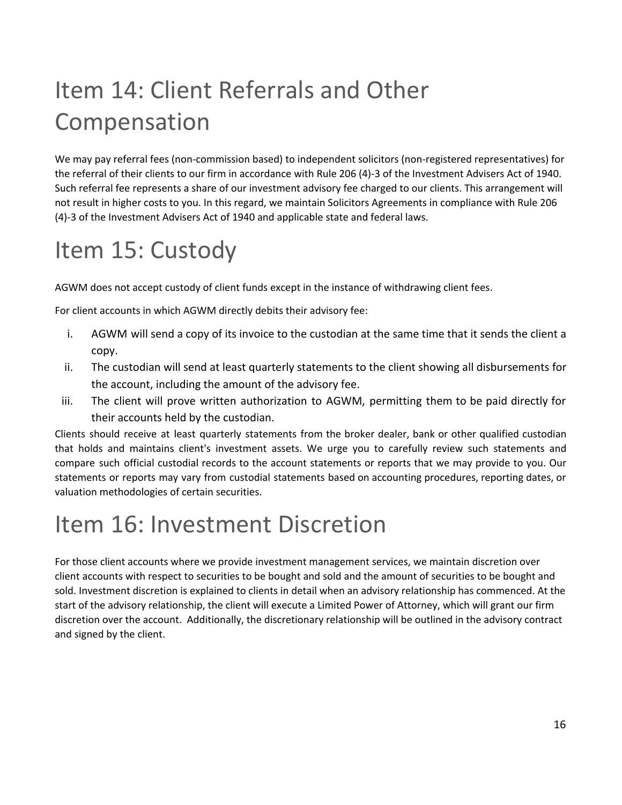# <span id="page-15-0"></span>Item 14: Client Referrals and Other Compensation

We may pay referral fees (non-commission based) to independent solicitors (non-registered representatives) for the referral of their clients to our firm in accordance with Rule 206 (4)-3 of the Investment Advisers Act of 1940. Such referral fee represents a share of our investment advisory fee charged to our clients. This arrangement will not result in higher costs to you. In this regard, we maintain Solicitors Agreements in compliance with Rule 206 (4)-3 of the Investment Advisers Act of 1940 and applicable state and federal laws.

# <span id="page-15-1"></span>Item 15: Custody

AGWM does not accept custody of client funds except in the instance of withdrawing client fees.

For client accounts in which AGWM directly debits their advisory fee:

- i. AGWM will send a copy of its invoice to the custodian at the same time that it sends the client a copy.
- ii. The custodian will send at least quarterly statements to the client showing all disbursements for the account, including the amount of the advisory fee.
- iii. The client will prove written authorization to AGWM, permitting them to be paid directly for their accounts held by the custodian.

Clients should receive at least quarterly statements from the broker dealer, bank or other qualified custodian that holds and maintains client's investment assets. We urge you to carefully review such statements and compare such official custodial records to the account statements or reports that we may provide to you. Our statements or reports may vary from custodial statements based on accounting procedures, reporting dates, or valuation methodologies of certain securities.

# <span id="page-15-2"></span>Item 16: Investment Discretion

For those client accounts where we provide investment management services, we maintain discretion over client accounts with respect to securities to be bought and sold and the amount of securities to be bought and sold. Investment discretion is explained to clients in detail when an advisory relationship has commenced. At the start of the advisory relationship, the client will execute a Limited Power of Attorney, which will grant our firm discretion over the account. Additionally, the discretionary relationship will be outlined in the advisory contract and signed by the client.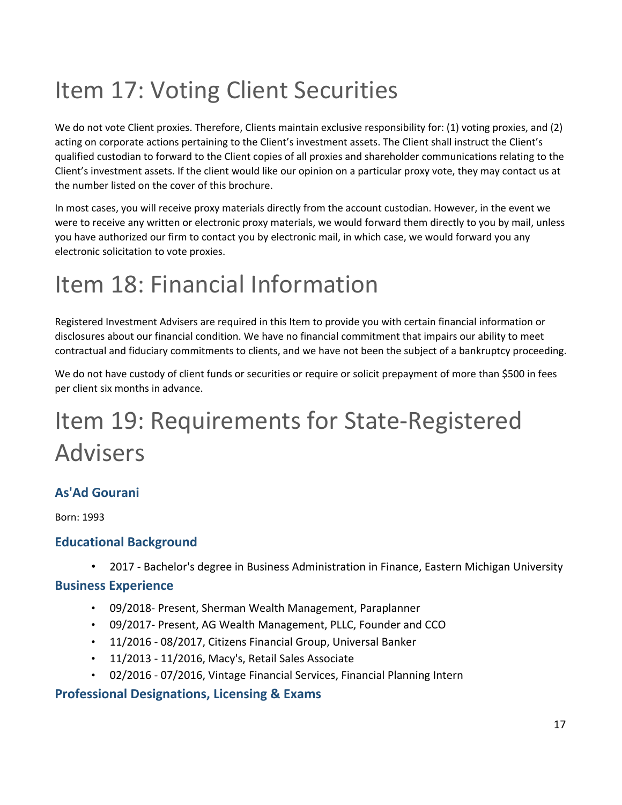# <span id="page-16-0"></span>Item 17: Voting Client Securities

We do not vote Client proxies. Therefore, Clients maintain exclusive responsibility for: (1) voting proxies, and (2) acting on corporate actions pertaining to the Client's investment assets. The Client shall instruct the Client's qualified custodian to forward to the Client copies of all proxies and shareholder communications relating to the Client's investment assets. If the client would like our opinion on a particular proxy vote, they may contact us at the number listed on the cover of this brochure.

In most cases, you will receive proxy materials directly from the account custodian. However, in the event we were to receive any written or electronic proxy materials, we would forward them directly to you by mail, unless you have authorized our firm to contact you by electronic mail, in which case, we would forward you any electronic solicitation to vote proxies.

# <span id="page-16-1"></span>Item 18: Financial Information

Registered Investment Advisers are required in this Item to provide you with certain financial information or disclosures about our financial condition. We have no financial commitment that impairs our ability to meet contractual and fiduciary commitments to clients, and we have not been the subject of a bankruptcy proceeding.

We do not have custody of client funds or securities or require or solicit prepayment of more than \$500 in fees per client six months in advance.

# <span id="page-16-2"></span>Item 19: Requirements for State-Registered Advisers

### **As'Ad Gourani**

Born: 1993

### **Educational Background**

• 2017 - Bachelor's degree in Business Administration in Finance, Eastern Michigan University

#### **Business Experience**

- 09/2018- Present, Sherman Wealth Management, Paraplanner
- 09/2017- Present, AG Wealth Management, PLLC, Founder and CCO
- 11/2016 08/2017, Citizens Financial Group, Universal Banker
- 11/2013 11/2016, Macy's, Retail Sales Associate
- 02/2016 07/2016, Vintage Financial Services, Financial Planning Intern

### **Professional Designations, Licensing & Exams**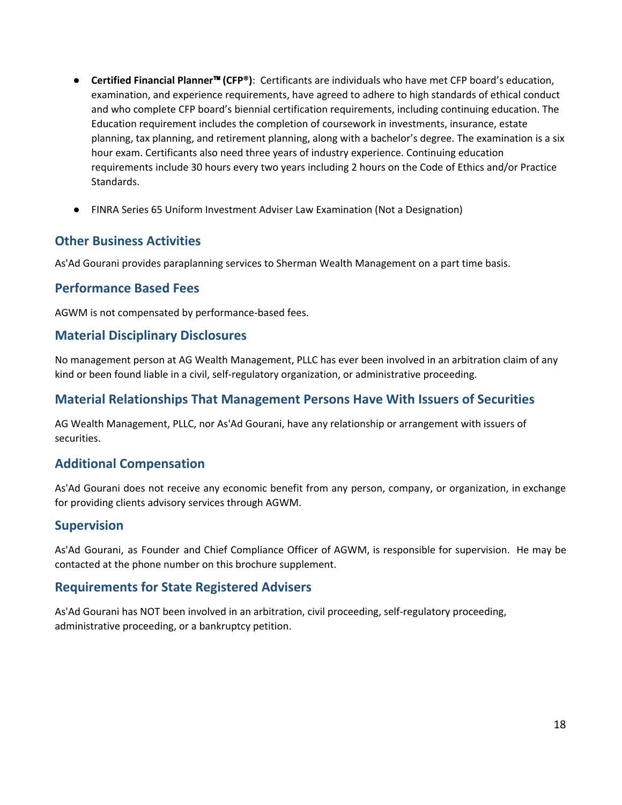- **Certified Financial Planner**™ **(CFP®)**: Certificants are individuals who have met CFP board's education, examination, and experience requirements, have agreed to adhere to high standards of ethical conduct and who complete CFP board's biennial certification requirements, including continuing education. The Education requirement includes the completion of coursework in investments, insurance, estate planning, tax planning, and retirement planning, along with a bachelor's degree. The examination is a six hour exam. Certificants also need three years of industry experience. Continuing education requirements include 30 hours every two years including 2 hours on the Code of Ethics and/or Practice Standards.
- FINRA Series 65 Uniform Investment Adviser Law Examination (Not a Designation)

#### **Other Business Activities**

As'Ad Gourani provides paraplanning services to Sherman Wealth Management on a part time basis.

#### **Performance Based Fees**

AGWM is not compensated by performance-based fees.

#### **Material Disciplinary Disclosures**

No management person at AG Wealth Management, PLLC has ever been involved in an arbitration claim of any kind or been found liable in a civil, self-regulatory organization, or administrative proceeding.

#### **Material Relationships That Management Persons Have With Issuers of Securities**

AG Wealth Management, PLLC, nor As'Ad Gourani, have any relationship or arrangement with issuers of securities.

#### **Additional Compensation**

As'Ad Gourani does not receive any economic benefit from any person, company, or organization, in exchange for providing clients advisory services through AGWM.

#### **Supervision**

As'Ad Gourani, as Founder and Chief Compliance Officer of AGWM, is responsible for supervision. He may be contacted at the phone number on this brochure supplement.

#### **Requirements for State Registered Advisers**

As'Ad Gourani has NOT been involved in an arbitration, civil proceeding, self-regulatory proceeding, administrative proceeding, or a bankruptcy petition.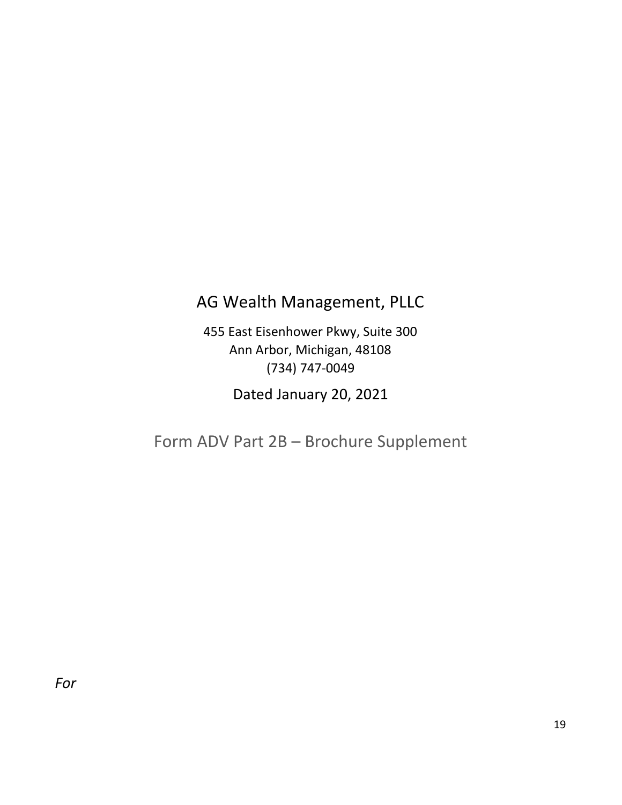## AG Wealth Management, PLLC

455 East Eisenhower Pkwy, Suite 300 Ann Arbor, Michigan, 48108 (734) 747-0049

Dated January 20, 2021

<span id="page-18-0"></span>Form ADV Part 2B – Brochure Supplement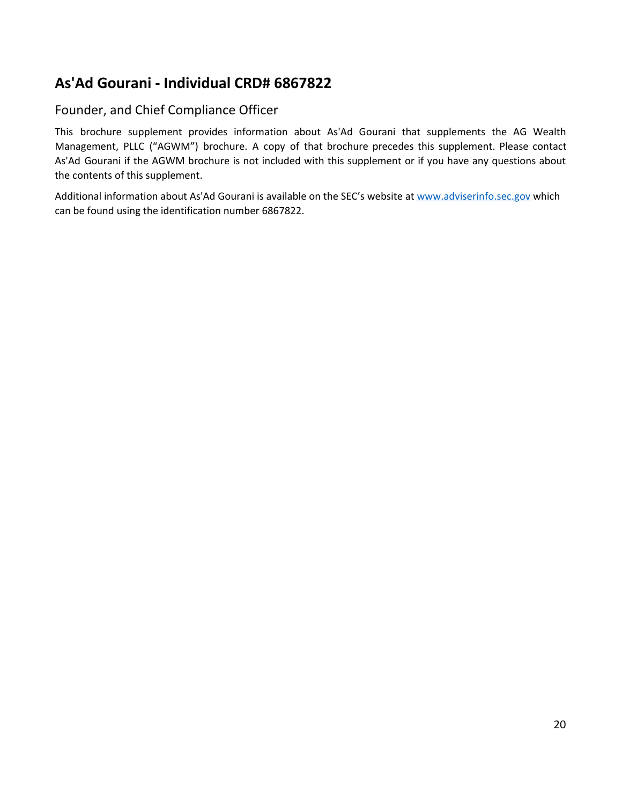### **As'Ad Gourani - Individual CRD# 6867822**

### Founder, and Chief Compliance Officer

This brochure supplement provides information about As'Ad Gourani that supplements the AG Wealth Management, PLLC ("AGWM") brochure. A copy of that brochure precedes this supplement. Please contact As'Ad Gourani if the AGWM brochure is not included with this supplement or if you have any questions about the contents of this supplement.

Additional information about As'Ad Gourani is available on the SEC's website at [www.adviserinfo.sec.gov](http://www.adviserinfo.sec.gov/) which can be found using the identification number 6867822.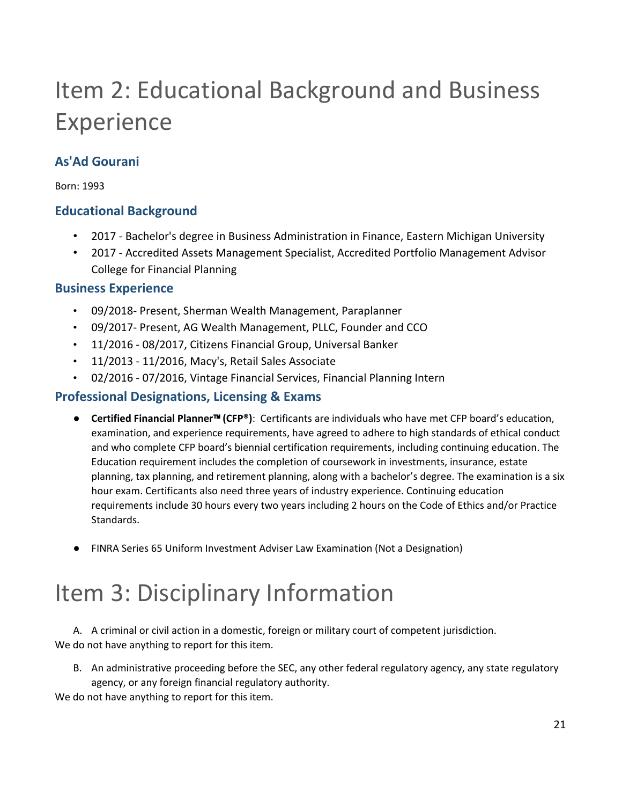# Item 2: Educational Background and Business Experience

### **As'Ad Gourani**

Born: 1993

### **Educational Background**

- 2017 Bachelor's degree in Business Administration in Finance, Eastern Michigan University
- 2017 Accredited Assets Management Specialist, Accredited Portfolio Management Advisor College for Financial Planning

### **Business Experience**

- 09/2018- Present, Sherman Wealth Management, Paraplanner
- 09/2017- Present, AG Wealth Management, PLLC, Founder and CCO
- 11/2016 08/2017, Citizens Financial Group, Universal Banker
- 11/2013 11/2016, Macy's, Retail Sales Associate
- 02/2016 07/2016, Vintage Financial Services, Financial Planning Intern

### **Professional Designations, Licensing & Exams**

- **Certified Financial Planner**™ **(CFP®)**: Certificants are individuals who have met CFP board's education, examination, and experience requirements, have agreed to adhere to high standards of ethical conduct and who complete CFP board's biennial certification requirements, including continuing education. The Education requirement includes the completion of coursework in investments, insurance, estate planning, tax planning, and retirement planning, along with a bachelor's degree. The examination is a six hour exam. Certificants also need three years of industry experience. Continuing education requirements include 30 hours every two years including 2 hours on the Code of Ethics and/or Practice Standards.
- FINRA Series 65 Uniform Investment Adviser Law Examination (Not a Designation)

# Item 3: Disciplinary Information

A. A criminal or civil action in a domestic, foreign or military court of competent jurisdiction. We do not have anything to report for this item.

B. An administrative proceeding before the SEC, any other federal regulatory agency, any state regulatory agency, or any foreign financial regulatory authority.

We do not have anything to report for this item.